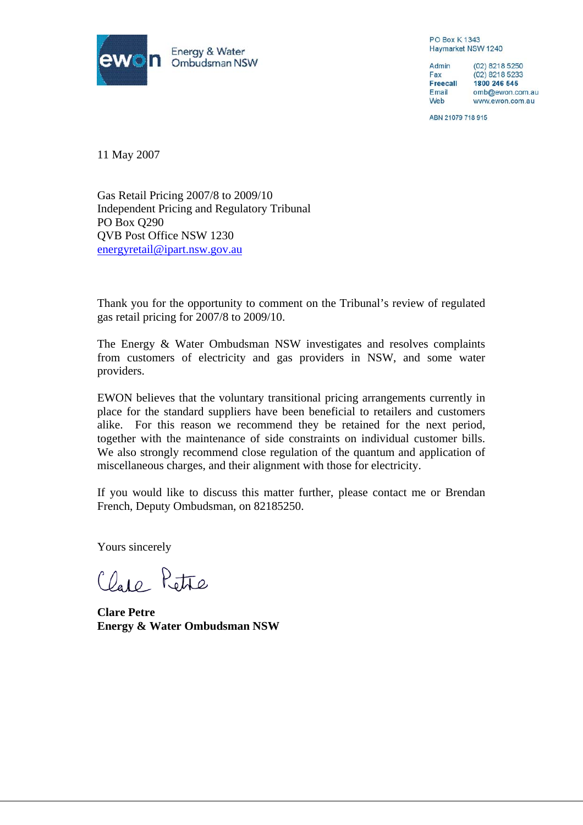

**PO Box K1343** Haymarket NSW 1240

Admin (02) 8218 5250 Fax (02) 8218 5233 **Freecall** 1800 246 545 Email omb@ewon.com.au Web www.ewon.com.au

ABN 21079 718 915

11 May 2007

Gas Retail Pricing 2007/8 to 2009/10 Independent Pricing and Regulatory Tribunal PO Box Q290 QVB Post Office NSW 1230 energyretail@ipart.nsw.gov.au

Thank you for the opportunity to comment on the Tribunal's review of regulated gas retail pricing for 2007/8 to 2009/10.

The Energy & Water Ombudsman NSW investigates and resolves complaints from customers of electricity and gas providers in NSW, and some water providers.

EWON believes that the voluntary transitional pricing arrangements currently in place for the standard suppliers have been beneficial to retailers and customers alike. For this reason we recommend they be retained for the next period, together with the maintenance of side constraints on individual customer bills. We also strongly recommend close regulation of the quantum and application of miscellaneous charges, and their alignment with those for electricity.

If you would like to discuss this matter further, please contact me or Brendan French, Deputy Ombudsman, on 82185250.

Yours sincerely

Clare Petre

**Clare Petre Energy & Water Ombudsman NSW**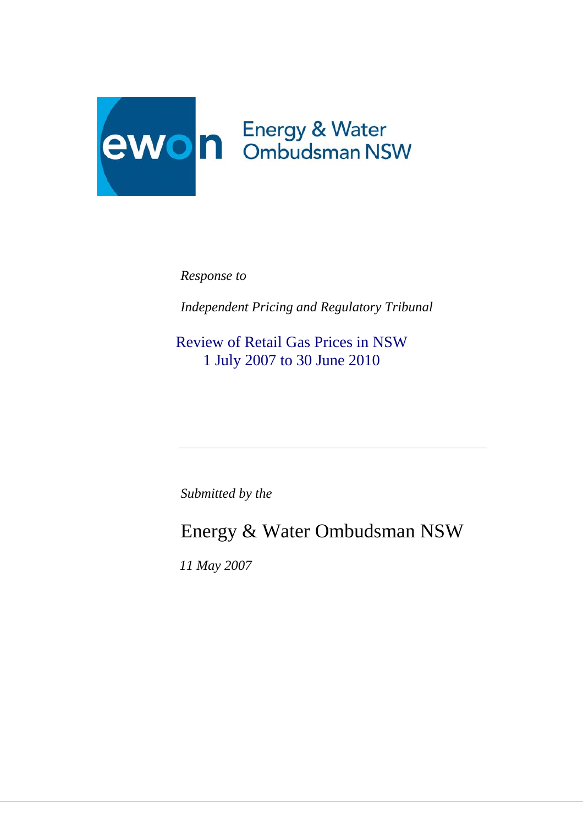

*Response to* 

*Independent Pricing and Regulatory Tribunal*

Review of Retail Gas Prices in NSW 1 July 2007 to 30 June 2010

*Submitted by the*

Energy & Water Ombudsman NSW

 *11 May 2007*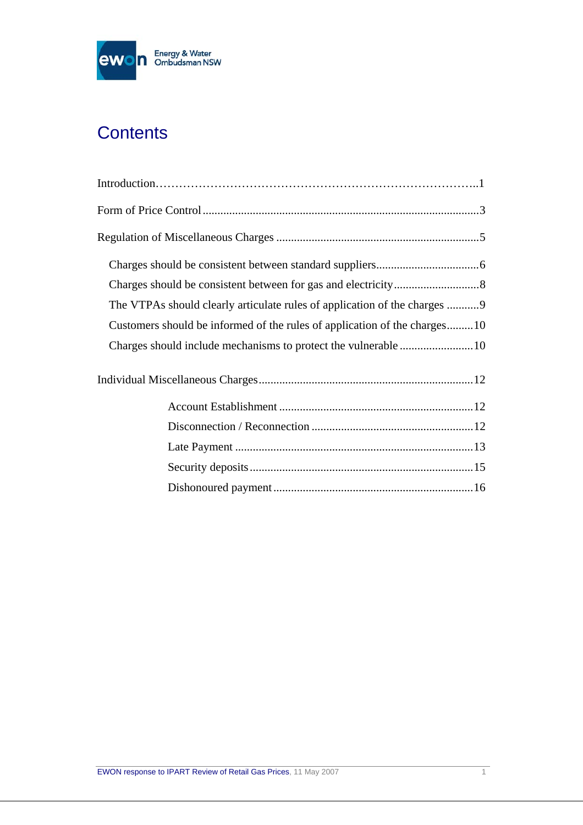

# **Contents**

| The VTPAs should clearly articulate rules of application of the charges 9 |
|---------------------------------------------------------------------------|
| Customers should be informed of the rules of application of the charges10 |
|                                                                           |
|                                                                           |
|                                                                           |
|                                                                           |
|                                                                           |
|                                                                           |
|                                                                           |
|                                                                           |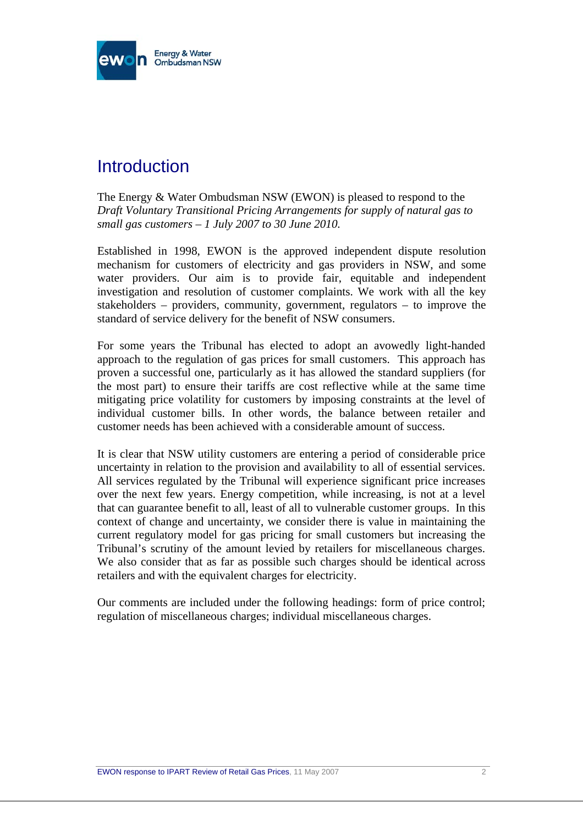

## **Introduction**

The Energy & Water Ombudsman NSW (EWON) is pleased to respond to the *Draft Voluntary Transitional Pricing Arrangements for supply of natural gas to small gas customers – 1 July 2007 to 30 June 2010.*

Established in 1998, EWON is the approved independent dispute resolution mechanism for customers of electricity and gas providers in NSW, and some water providers. Our aim is to provide fair, equitable and independent investigation and resolution of customer complaints. We work with all the key stakeholders – providers, community, government, regulators – to improve the standard of service delivery for the benefit of NSW consumers.

For some years the Tribunal has elected to adopt an avowedly light-handed approach to the regulation of gas prices for small customers. This approach has proven a successful one, particularly as it has allowed the standard suppliers (for the most part) to ensure their tariffs are cost reflective while at the same time mitigating price volatility for customers by imposing constraints at the level of individual customer bills. In other words, the balance between retailer and customer needs has been achieved with a considerable amount of success.

It is clear that NSW utility customers are entering a period of considerable price uncertainty in relation to the provision and availability to all of essential services. All services regulated by the Tribunal will experience significant price increases over the next few years. Energy competition, while increasing, is not at a level that can guarantee benefit to all, least of all to vulnerable customer groups. In this context of change and uncertainty, we consider there is value in maintaining the current regulatory model for gas pricing for small customers but increasing the Tribunal's scrutiny of the amount levied by retailers for miscellaneous charges. We also consider that as far as possible such charges should be identical across retailers and with the equivalent charges for electricity.

Our comments are included under the following headings: form of price control; regulation of miscellaneous charges; individual miscellaneous charges.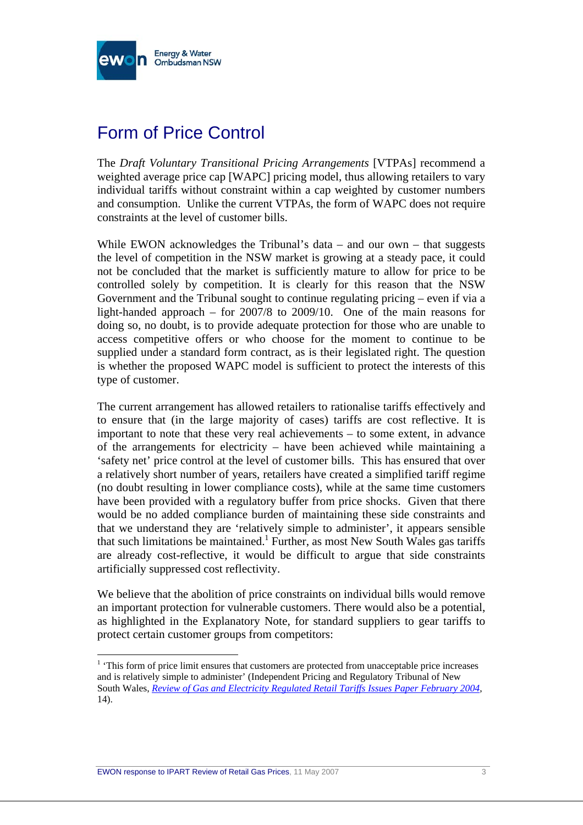

## Form of Price Control

The *Draft Voluntary Transitional Pricing Arrangements* [VTPAs] recommend a weighted average price cap [WAPC] pricing model, thus allowing retailers to vary individual tariffs without constraint within a cap weighted by customer numbers and consumption. Unlike the current VTPAs, the form of WAPC does not require constraints at the level of customer bills.

While EWON acknowledges the Tribunal's data  $-$  and our own  $-$  that suggests the level of competition in the NSW market is growing at a steady pace, it could not be concluded that the market is sufficiently mature to allow for price to be controlled solely by competition. It is clearly for this reason that the NSW Government and the Tribunal sought to continue regulating pricing – even if via a light-handed approach – for 2007/8 to 2009/10. One of the main reasons for doing so, no doubt, is to provide adequate protection for those who are unable to access competitive offers or who choose for the moment to continue to be supplied under a standard form contract, as is their legislated right. The question is whether the proposed WAPC model is sufficient to protect the interests of this type of customer.

The current arrangement has allowed retailers to rationalise tariffs effectively and to ensure that (in the large majority of cases) tariffs are cost reflective. It is important to note that these very real achievements – to some extent, in advance of the arrangements for electricity – have been achieved while maintaining a 'safety net' price control at the level of customer bills. This has ensured that over a relatively short number of years, retailers have created a simplified tariff regime (no doubt resulting in lower compliance costs), while at the same time customers have been provided with a regulatory buffer from price shocks. Given that there would be no added compliance burden of maintaining these side constraints and that we understand they are 'relatively simple to administer', it appears sensible that such limitations be maintained.<sup>1</sup> Further, as most New South Wales gas tariffs are already cost-reflective, it would be difficult to argue that side constraints artificially suppressed cost reflectivity.

We believe that the abolition of price constraints on individual bills would remove an important protection for vulnerable customers. There would also be a potential, as highlighted in the Explanatory Note, for standard suppliers to gear tariffs to protect certain customer groups from competitors:

<sup>&</sup>lt;sup>1</sup> 'This form of price limit ensures that customers are protected from unacceptable price increases and is relatively simple to administer' (Independent Pricing and Regulatory Tribunal of New South Wales, *Review of Gas and Electricity Regulated Retail Tariffs Issues Paper February 2004*, 14).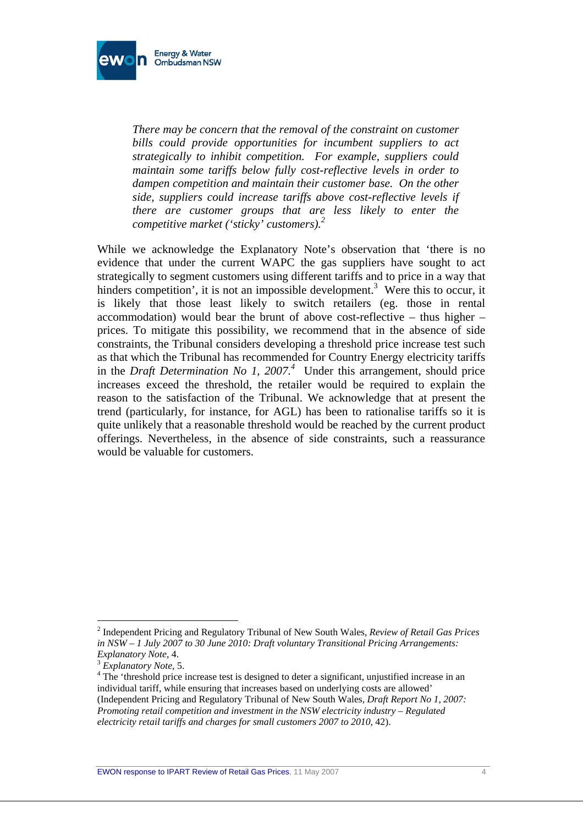

*There may be concern that the removal of the constraint on customer bills could provide opportunities for incumbent suppliers to act strategically to inhibit competition. For example, suppliers could maintain some tariffs below fully cost-reflective levels in order to dampen competition and maintain their customer base. On the other side, suppliers could increase tariffs above cost-reflective levels if there are customer groups that are less likely to enter the competitive market ('sticky' customers).<sup>2</sup>*

While we acknowledge the Explanatory Note's observation that 'there is no evidence that under the current WAPC the gas suppliers have sought to act strategically to segment customers using different tariffs and to price in a way that hinders competition', it is not an impossible development.<sup>3</sup> Were this to occur, it is likely that those least likely to switch retailers (eg. those in rental accommodation) would bear the brunt of above cost-reflective – thus higher – prices. To mitigate this possibility, we recommend that in the absence of side constraints, the Tribunal considers developing a threshold price increase test such as that which the Tribunal has recommended for Country Energy electricity tariffs in the *Draft Determination No 1, 2007.*<sup>4</sup> Under this arrangement, should price increases exceed the threshold, the retailer would be required to explain the reason to the satisfaction of the Tribunal. We acknowledge that at present the trend (particularly, for instance, for AGL) has been to rationalise tariffs so it is quite unlikely that a reasonable threshold would be reached by the current product offerings. Nevertheless, in the absence of side constraints, such a reassurance would be valuable for customers.

<sup>2</sup> Independent Pricing and Regulatory Tribunal of New South Wales, *Review of Retail Gas Prices in NSW – 1 July 2007 to 30 June 2010: Draft voluntary Transitional Pricing Arrangements: Explanatory Note*, 4.<br><sup>3</sup> *Explanatory Note*, 5.

<sup>&</sup>lt;sup>4</sup> The 'threshold price increase test is designed to deter a significant, unjustified increase in an individual tariff, while ensuring that increases based on underlying costs are allowed' (Independent Pricing and Regulatory Tribunal of New South Wales, *Draft Report No 1, 2007: Promoting retail competition and investment in the NSW electricity industry – Regulated electricity retail tariffs and charges for small customers 2007 to 2010*, 42).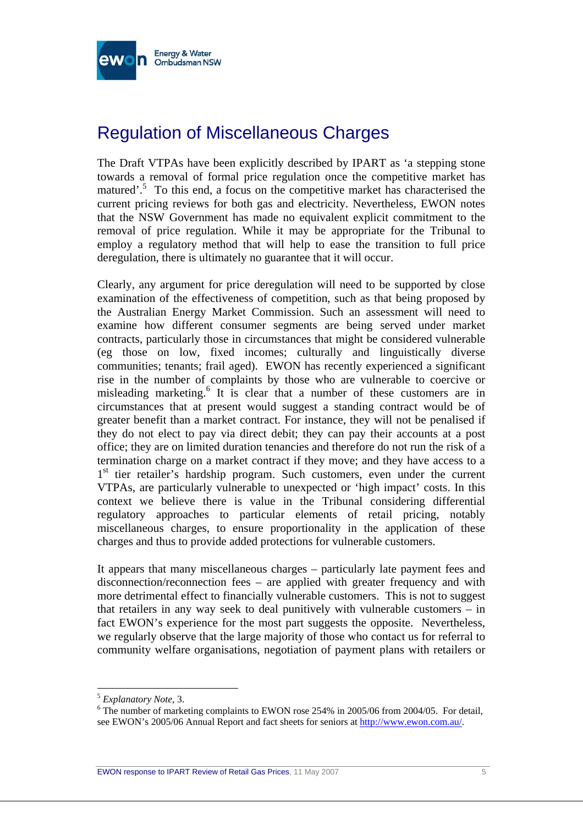

## Regulation of Miscellaneous Charges

The Draft VTPAs have been explicitly described by IPART as 'a stepping stone towards a removal of formal price regulation once the competitive market has matured'.<sup>5</sup> To this end, a focus on the competitive market has characterised the current pricing reviews for both gas and electricity. Nevertheless, EWON notes that the NSW Government has made no equivalent explicit commitment to the removal of price regulation. While it may be appropriate for the Tribunal to employ a regulatory method that will help to ease the transition to full price deregulation, there is ultimately no guarantee that it will occur.

Clearly, any argument for price deregulation will need to be supported by close examination of the effectiveness of competition, such as that being proposed by the Australian Energy Market Commission. Such an assessment will need to examine how different consumer segments are being served under market contracts, particularly those in circumstances that might be considered vulnerable (eg those on low, fixed incomes; culturally and linguistically diverse communities; tenants; frail aged). EWON has recently experienced a significant rise in the number of complaints by those who are vulnerable to coercive or misleading marketing.<sup>6</sup> It is clear that a number of these customers are in circumstances that at present would suggest a standing contract would be of greater benefit than a market contract. For instance, they will not be penalised if they do not elect to pay via direct debit; they can pay their accounts at a post office; they are on limited duration tenancies and therefore do not run the risk of a termination charge on a market contract if they move; and they have access to a 1<sup>st</sup> tier retailer's hardship program. Such customers, even under the current VTPAs, are particularly vulnerable to unexpected or 'high impact' costs. In this context we believe there is value in the Tribunal considering differential regulatory approaches to particular elements of retail pricing, notably miscellaneous charges, to ensure proportionality in the application of these charges and thus to provide added protections for vulnerable customers.

It appears that many miscellaneous charges – particularly late payment fees and disconnection/reconnection fees – are applied with greater frequency and with more detrimental effect to financially vulnerable customers. This is not to suggest that retailers in any way seek to deal punitively with vulnerable customers – in fact EWON's experience for the most part suggests the opposite. Nevertheless, we regularly observe that the large majority of those who contact us for referral to community welfare organisations, negotiation of payment plans with retailers or

<sup>5</sup> *Explanatory Note*, 3. 6

 $6$  The number of marketing complaints to EWON rose 254% in 2005/06 from 2004/05. For detail, see EWON's 2005/06 Annual Report and fact sheets for seniors at http://www.ewon.com.au/.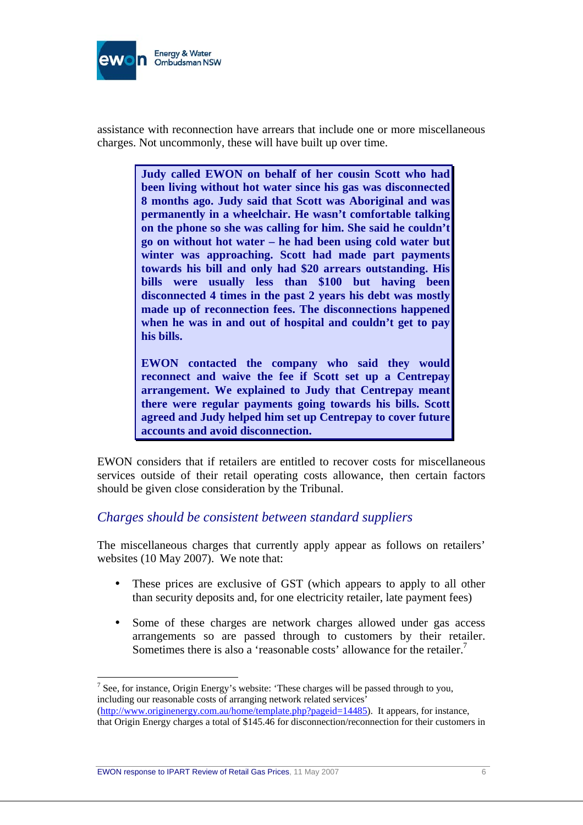

assistance with reconnection have arrears that include one or more miscellaneous charges. Not uncommonly, these will have built up over time.

> **Judy called EWON on behalf of her cousin Scott who had been living without hot water since his gas was disconnected 8 months ago. Judy said that Scott was Aboriginal and was permanently in a wheelchair. He wasn't comfortable talking on the phone so she was calling for him. She said he couldn't go on without hot water – he had been using cold water but winter was approaching. Scott had made part payments towards his bill and only had \$20 arrears outstanding. His bills were usually less than \$100 but having been disconnected 4 times in the past 2 years his debt was mostly made up of reconnection fees. The disconnections happened when he was in and out of hospital and couldn't get to pay his bills.**

> **EWON contacted the company who said they would reconnect and waive the fee if Scott set up a Centrepay arrangement. We explained to Judy that Centrepay meant there were regular payments going towards his bills. Scott agreed and Judy helped him set up Centrepay to cover future accounts and avoid disconnection.**

EWON considers that if retailers are entitled to recover costs for miscellaneous services outside of their retail operating costs allowance, then certain factors should be given close consideration by the Tribunal.

#### *Charges should be consistent between standard suppliers*

The miscellaneous charges that currently apply appear as follows on retailers' websites (10 May 2007). We note that:

- These prices are exclusive of GST (which appears to apply to all other than security deposits and, for one electricity retailer, late payment fees)
- Some of these charges are network charges allowed under gas access arrangements so are passed through to customers by their retailer. Sometimes there is also a 'reasonable costs' allowance for the retailer.<sup>7</sup>

<sup>&</sup>lt;sup>7</sup> See, for instance, Origin Energy's website: 'These charges will be passed through to you, including our reasonable costs of arranging network related services' (http://www.originenergy.com.au/home/template.php?pageid=14485). It appears, for instance, that Origin Energy charges a total of \$145.46 for disconnection/reconnection for their customers in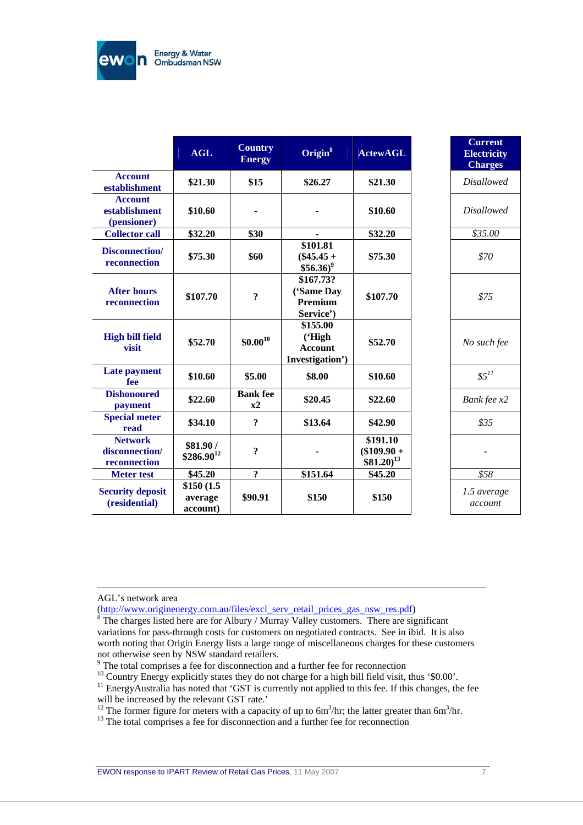

|                                                  | <b>AGL</b>                        | <b>Country</b><br><b>Energy</b> | Origin $8$                                              | <b>ActewAGL</b>                                    |
|--------------------------------------------------|-----------------------------------|---------------------------------|---------------------------------------------------------|----------------------------------------------------|
| <b>Account</b><br>establishment                  | \$21.30                           | \$15                            | \$26.27                                                 | \$21.30                                            |
| <b>Account</b><br>establishment<br>(pensioner)   | \$10.60                           |                                 |                                                         | \$10.60                                            |
| <b>Collector call</b>                            | \$32.20                           | \$30                            |                                                         | \$32.20                                            |
| Disconnection/<br>reconnection                   | \$75.30                           | \$60                            | \$101.81<br>$($45.45 +$<br>$$56.36$ <sup>9</sup>        | \$75.30                                            |
| <b>After hours</b><br>reconnection               | \$107.70                          | $\overline{\mathbf{?}}$         | \$167.73?<br>('Same Day<br>Premium<br>Service')         | \$107.70                                           |
| <b>High bill field</b><br>visit                  | \$52.70                           | $$0.00^{10}$                    | \$155.00<br>('High<br><b>Account</b><br>Investigation') | \$52.70                                            |
| Late payment<br>fee                              | \$10.60                           | \$5.00                          | \$8.00                                                  | \$10.60                                            |
| <b>Dishonoured</b><br>payment                    | \$22.60                           | <b>Bank</b> fee<br>x2           | \$20.45                                                 | \$22.60                                            |
| <b>Special meter</b><br>read                     | \$34.10                           | $\ddot{?}$                      | \$13.64                                                 | \$42.90                                            |
| <b>Network</b><br>disconnection/<br>reconnection | \$81.90 /<br>$$286.90^{12}$       | $\ddot{\cdot}$                  |                                                         | \$191.10<br>$($109.90 +$<br>$$81.20$ <sup>13</sup> |
| <b>Meter</b> test                                | \$45.20                           | $\overline{?}$                  | \$151.64                                                | \$45.20                                            |
| <b>Security deposit</b><br>(residential)         | \$150(1.5)<br>average<br>account) | \$90.91                         | \$150                                                   | \$150                                              |

| \$21.30<br><b>Disallowed</b><br>\$10.60<br>Disallowed<br>\$32.20<br>\$35.00<br>\$75.30<br>\$70<br>\$107.70<br>\$75<br>\$52.70<br>No such fee<br>$$5^{11}$<br>\$10.60<br>\$22.60<br>Bank fee x2<br>\$35<br>\$42.90<br>\$191.10<br>$109.90 +$<br>$81.20)^{13}$<br>\$45.20<br>\$58<br>1.5 average<br>\$150<br>account | tewAGL | <b>Current</b><br><b>Electricity</b><br><b>Charges</b> |
|--------------------------------------------------------------------------------------------------------------------------------------------------------------------------------------------------------------------------------------------------------------------------------------------------------------------|--------|--------------------------------------------------------|
|                                                                                                                                                                                                                                                                                                                    |        |                                                        |
|                                                                                                                                                                                                                                                                                                                    |        |                                                        |
|                                                                                                                                                                                                                                                                                                                    |        |                                                        |
|                                                                                                                                                                                                                                                                                                                    |        |                                                        |
|                                                                                                                                                                                                                                                                                                                    |        |                                                        |
|                                                                                                                                                                                                                                                                                                                    |        |                                                        |
|                                                                                                                                                                                                                                                                                                                    |        |                                                        |
|                                                                                                                                                                                                                                                                                                                    |        |                                                        |
|                                                                                                                                                                                                                                                                                                                    |        |                                                        |
|                                                                                                                                                                                                                                                                                                                    |        |                                                        |
|                                                                                                                                                                                                                                                                                                                    |        |                                                        |
|                                                                                                                                                                                                                                                                                                                    |        |                                                        |

AGL's network area

<sup>9</sup> The total comprises a fee for disconnection and a further fee for reconnection

<sup>10</sup> Country Energy explicitly states they do not charge for a high bill field visit, thus '\$0.00'.<br><sup>11</sup> EnergyAustralia has noted that 'GST is currently not applied to this fee. If this changes, the fee

<sup>12</sup> The former figure for meters with a capacity of up to  $6m^3/hr$ ; the latter greater than  $6m^3/hr$ .<br><sup>13</sup> The total comprises a fee for disconnection and a further fee for reconnection

<sup>(</sup>http://www.originenergy.com.au/files/excl\_serv\_retail\_prices\_gas\_nsw\_res.pdf)<br><sup>8</sup> The charges listed here are for Albury / Murray Valley customers. There are significant variations for pass-through costs for customers on negotiated contracts. See in ibid. It is also worth noting that Origin Energy lists a large range of miscellaneous charges for these customers not otherwise seen by NSW standard retailers.

will be increased by the relevant GST rate.'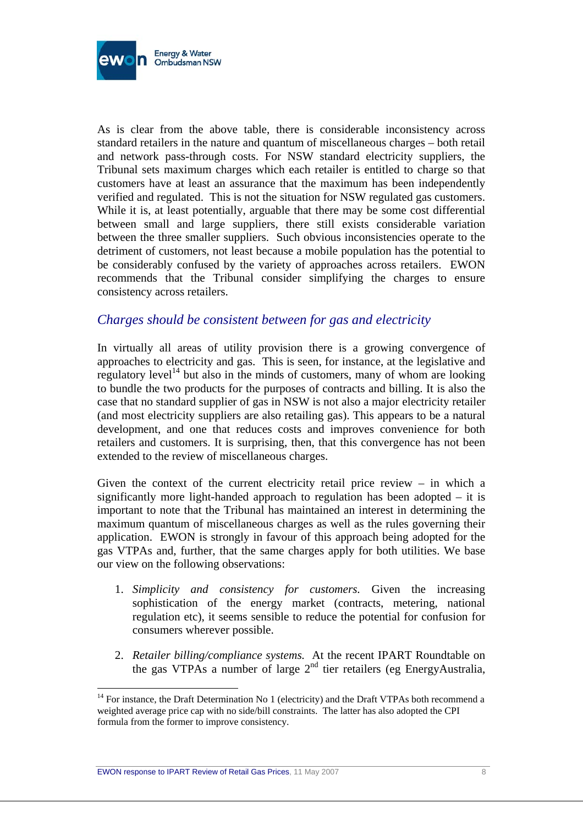

As is clear from the above table, there is considerable inconsistency across standard retailers in the nature and quantum of miscellaneous charges – both retail and network pass-through costs. For NSW standard electricity suppliers, the Tribunal sets maximum charges which each retailer is entitled to charge so that customers have at least an assurance that the maximum has been independently verified and regulated. This is not the situation for NSW regulated gas customers. While it is, at least potentially, arguable that there may be some cost differential between small and large suppliers, there still exists considerable variation between the three smaller suppliers. Such obvious inconsistencies operate to the detriment of customers, not least because a mobile population has the potential to be considerably confused by the variety of approaches across retailers. EWON recommends that the Tribunal consider simplifying the charges to ensure consistency across retailers.

#### *Charges should be consistent between for gas and electricity*

In virtually all areas of utility provision there is a growing convergence of approaches to electricity and gas. This is seen, for instance, at the legislative and regulatory level<sup>14</sup> but also in the minds of customers, many of whom are looking to bundle the two products for the purposes of contracts and billing. It is also the case that no standard supplier of gas in NSW is not also a major electricity retailer (and most electricity suppliers are also retailing gas). This appears to be a natural development, and one that reduces costs and improves convenience for both retailers and customers. It is surprising, then, that this convergence has not been extended to the review of miscellaneous charges.

Given the context of the current electricity retail price review – in which a significantly more light-handed approach to regulation has been adopted – it is important to note that the Tribunal has maintained an interest in determining the maximum quantum of miscellaneous charges as well as the rules governing their application. EWON is strongly in favour of this approach being adopted for the gas VTPAs and, further, that the same charges apply for both utilities. We base our view on the following observations:

- 1. *Simplicity and consistency for customers.* Given the increasing sophistication of the energy market (contracts, metering, national regulation etc), it seems sensible to reduce the potential for confusion for consumers wherever possible.
- 2. *Retailer billing/compliance systems.* At the recent IPART Roundtable on the gas VTPAs a number of large 2nd tier retailers (eg EnergyAustralia,

<sup>&</sup>lt;sup>14</sup> For instance, the Draft Determination No 1 (electricity) and the Draft VTPAs both recommend a weighted average price cap with no side/bill constraints. The latter has also adopted the CPI formula from the former to improve consistency.

EWON response to IPART Review of Retail Gas Prices, 11 May 2007 8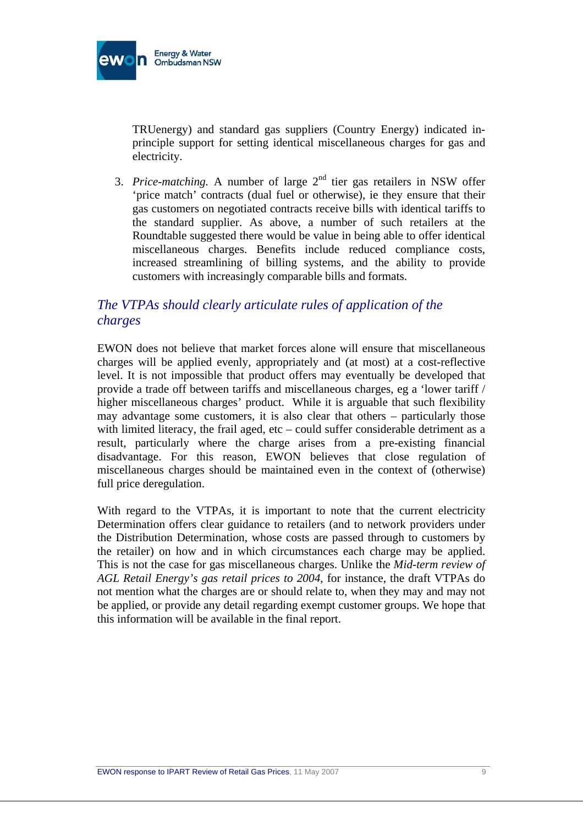

TRUenergy) and standard gas suppliers (Country Energy) indicated inprinciple support for setting identical miscellaneous charges for gas and electricity.

3. *Price-matching*. A number of large  $2<sup>nd</sup>$  tier gas retailers in NSW offer 'price match' contracts (dual fuel or otherwise), ie they ensure that their gas customers on negotiated contracts receive bills with identical tariffs to the standard supplier. As above, a number of such retailers at the Roundtable suggested there would be value in being able to offer identical miscellaneous charges. Benefits include reduced compliance costs, increased streamlining of billing systems, and the ability to provide customers with increasingly comparable bills and formats.

### *The VTPAs should clearly articulate rules of application of the charges*

EWON does not believe that market forces alone will ensure that miscellaneous charges will be applied evenly, appropriately and (at most) at a cost-reflective level. It is not impossible that product offers may eventually be developed that provide a trade off between tariffs and miscellaneous charges, eg a 'lower tariff / higher miscellaneous charges' product. While it is arguable that such flexibility may advantage some customers, it is also clear that others – particularly those with limited literacy, the frail aged, etc – could suffer considerable detriment as a result, particularly where the charge arises from a pre-existing financial disadvantage. For this reason, EWON believes that close regulation of miscellaneous charges should be maintained even in the context of (otherwise) full price deregulation.

With regard to the VTPAs, it is important to note that the current electricity Determination offers clear guidance to retailers (and to network providers under the Distribution Determination, whose costs are passed through to customers by the retailer) on how and in which circumstances each charge may be applied. This is not the case for gas miscellaneous charges. Unlike the *Mid-term review of AGL Retail Energy's gas retail prices to 2004*, for instance, the draft VTPAs do not mention what the charges are or should relate to, when they may and may not be applied, or provide any detail regarding exempt customer groups. We hope that this information will be available in the final report.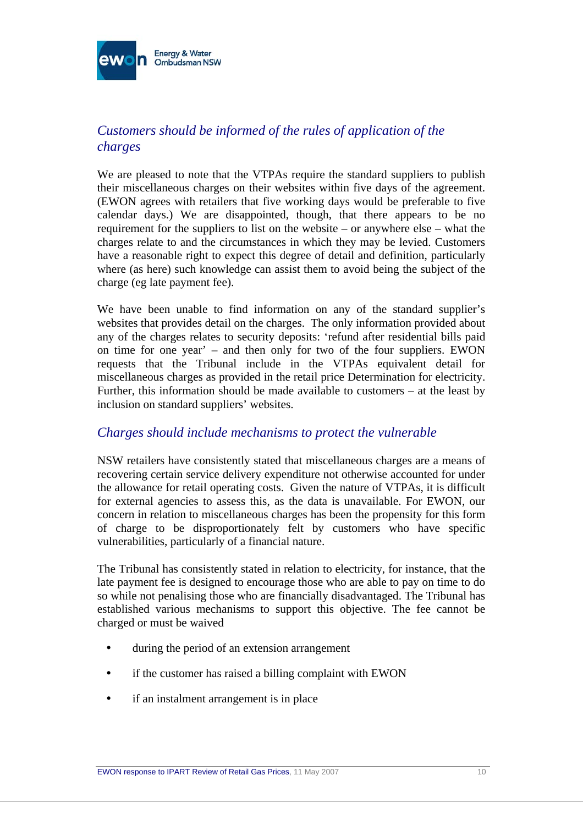

### *Customers should be informed of the rules of application of the charges*

We are pleased to note that the VTPAs require the standard suppliers to publish their miscellaneous charges on their websites within five days of the agreement. (EWON agrees with retailers that five working days would be preferable to five calendar days.) We are disappointed, though, that there appears to be no requirement for the suppliers to list on the website – or anywhere else – what the charges relate to and the circumstances in which they may be levied. Customers have a reasonable right to expect this degree of detail and definition, particularly where (as here) such knowledge can assist them to avoid being the subject of the charge (eg late payment fee).

We have been unable to find information on any of the standard supplier's websites that provides detail on the charges. The only information provided about any of the charges relates to security deposits: 'refund after residential bills paid on time for one year' – and then only for two of the four suppliers. EWON requests that the Tribunal include in the VTPAs equivalent detail for miscellaneous charges as provided in the retail price Determination for electricity. Further, this information should be made available to customers – at the least by inclusion on standard suppliers' websites.

#### *Charges should include mechanisms to protect the vulnerable*

NSW retailers have consistently stated that miscellaneous charges are a means of recovering certain service delivery expenditure not otherwise accounted for under the allowance for retail operating costs. Given the nature of VTPAs, it is difficult for external agencies to assess this, as the data is unavailable. For EWON, our concern in relation to miscellaneous charges has been the propensity for this form of charge to be disproportionately felt by customers who have specific vulnerabilities, particularly of a financial nature.

The Tribunal has consistently stated in relation to electricity, for instance, that the late payment fee is designed to encourage those who are able to pay on time to do so while not penalising those who are financially disadvantaged. The Tribunal has established various mechanisms to support this objective. The fee cannot be charged or must be waived

- during the period of an extension arrangement
- if the customer has raised a billing complaint with EWON
- if an instalment arrangement is in place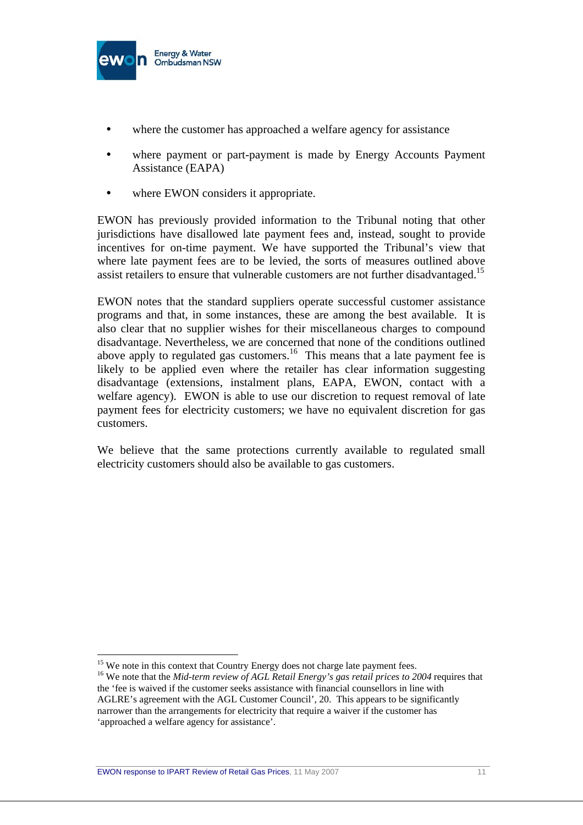

- where the customer has approached a welfare agency for assistance
- where payment or part-payment is made by Energy Accounts Payment Assistance (EAPA)
- where EWON considers it appropriate.

EWON has previously provided information to the Tribunal noting that other jurisdictions have disallowed late payment fees and, instead, sought to provide incentives for on-time payment. We have supported the Tribunal's view that where late payment fees are to be levied, the sorts of measures outlined above assist retailers to ensure that vulnerable customers are not further disadvantaged.<sup>15</sup>

EWON notes that the standard suppliers operate successful customer assistance programs and that, in some instances, these are among the best available. It is also clear that no supplier wishes for their miscellaneous charges to compound disadvantage. Nevertheless, we are concerned that none of the conditions outlined above apply to regulated gas customers.<sup>16</sup> This means that a late payment fee is likely to be applied even where the retailer has clear information suggesting disadvantage (extensions, instalment plans, EAPA, EWON, contact with a welfare agency). EWON is able to use our discretion to request removal of late payment fees for electricity customers; we have no equivalent discretion for gas customers.

We believe that the same protections currently available to regulated small electricity customers should also be available to gas customers.

<sup>&</sup>lt;sup>15</sup> We note in this context that Country Energy does not charge late payment fees.<br><sup>16</sup> We note that the *Mid-term review of AGL Retail Energy's gas retail prices to 2004* requires that the 'fee is waived if the customer seeks assistance with financial counsellors in line with AGLRE's agreement with the AGL Customer Council', 20. This appears to be significantly narrower than the arrangements for electricity that require a waiver if the customer has 'approached a welfare agency for assistance'.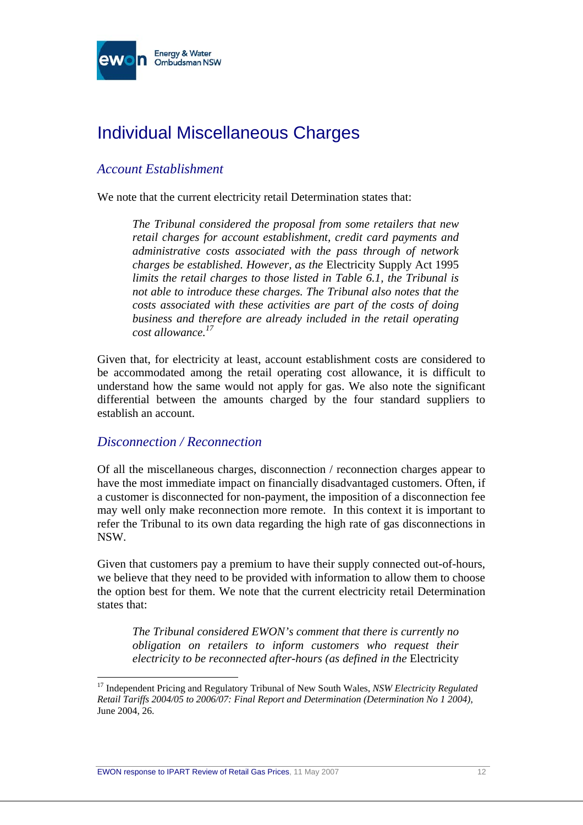

## Individual Miscellaneous Charges

#### *Account Establishment*

We note that the current electricity retail Determination states that:

*The Tribunal considered the proposal from some retailers that new retail charges for account establishment, credit card payments and administrative costs associated with the pass through of network charges be established. However, as the* Electricity Supply Act 1995 *limits the retail charges to those listed in Table 6.1, the Tribunal is not able to introduce these charges. The Tribunal also notes that the costs associated with these activities are part of the costs of doing business and therefore are already included in the retail operating cost allowance.17*

Given that, for electricity at least, account establishment costs are considered to be accommodated among the retail operating cost allowance, it is difficult to understand how the same would not apply for gas. We also note the significant differential between the amounts charged by the four standard suppliers to establish an account.

#### *Disconnection / Reconnection*

 $\overline{a}$ 

Of all the miscellaneous charges, disconnection / reconnection charges appear to have the most immediate impact on financially disadvantaged customers. Often, if a customer is disconnected for non-payment, the imposition of a disconnection fee may well only make reconnection more remote. In this context it is important to refer the Tribunal to its own data regarding the high rate of gas disconnections in NSW.

Given that customers pay a premium to have their supply connected out-of-hours, we believe that they need to be provided with information to allow them to choose the option best for them. We note that the current electricity retail Determination states that:

*The Tribunal considered EWON's comment that there is currently no obligation on retailers to inform customers who request their electricity to be reconnected after-hours (as defined in the* Electricity

<sup>17</sup> Independent Pricing and Regulatory Tribunal of New South Wales, *NSW Electricity Regulated Retail Tariffs 2004/05 to 2006/07: Final Report and Determination (Determination No 1 2004)*, June 2004, 26.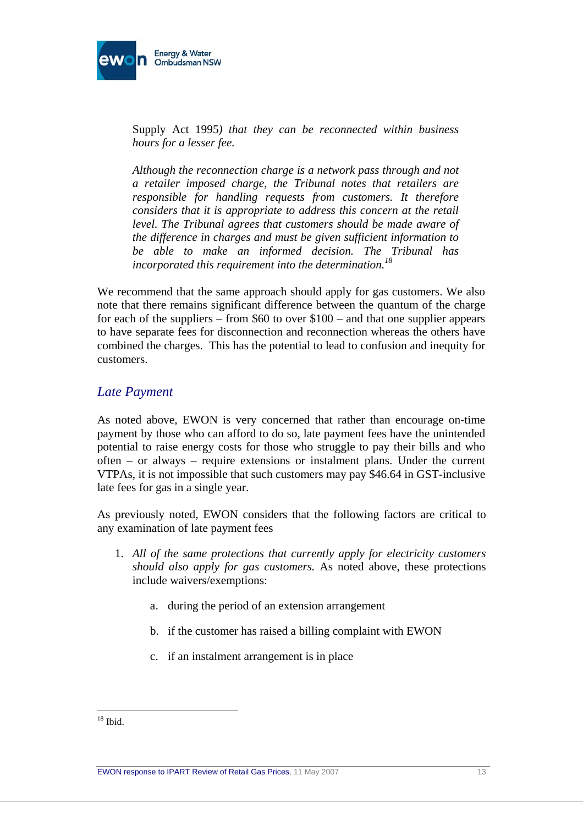

Supply Act 1995*) that they can be reconnected within business hours for a lesser fee.* 

*Although the reconnection charge is a network pass through and not a retailer imposed charge, the Tribunal notes that retailers are responsible for handling requests from customers. It therefore considers that it is appropriate to address this concern at the retail level. The Tribunal agrees that customers should be made aware of the difference in charges and must be given sufficient information to be able to make an informed decision. The Tribunal has incorporated this requirement into the determination.18*

We recommend that the same approach should apply for gas customers. We also note that there remains significant difference between the quantum of the charge for each of the suppliers – from  $$60$  to over  $$100$  – and that one supplier appears to have separate fees for disconnection and reconnection whereas the others have combined the charges. This has the potential to lead to confusion and inequity for customers.

#### *Late Payment*

As noted above, EWON is very concerned that rather than encourage on-time payment by those who can afford to do so, late payment fees have the unintended potential to raise energy costs for those who struggle to pay their bills and who often – or always – require extensions or instalment plans. Under the current VTPAs, it is not impossible that such customers may pay \$46.64 in GST-inclusive late fees for gas in a single year.

As previously noted, EWON considers that the following factors are critical to any examination of late payment fees

- 1. *All of the same protections that currently apply for electricity customers should also apply for gas customers.* As noted above, these protections include waivers/exemptions:
	- a. during the period of an extension arrangement
	- b. if the customer has raised a billing complaint with EWON
	- c. if an instalment arrangement is in place

 $\overline{a}$  $18$  Ibid.

EWON response to IPART Review of Retail Gas Prices, 11 May 2007 13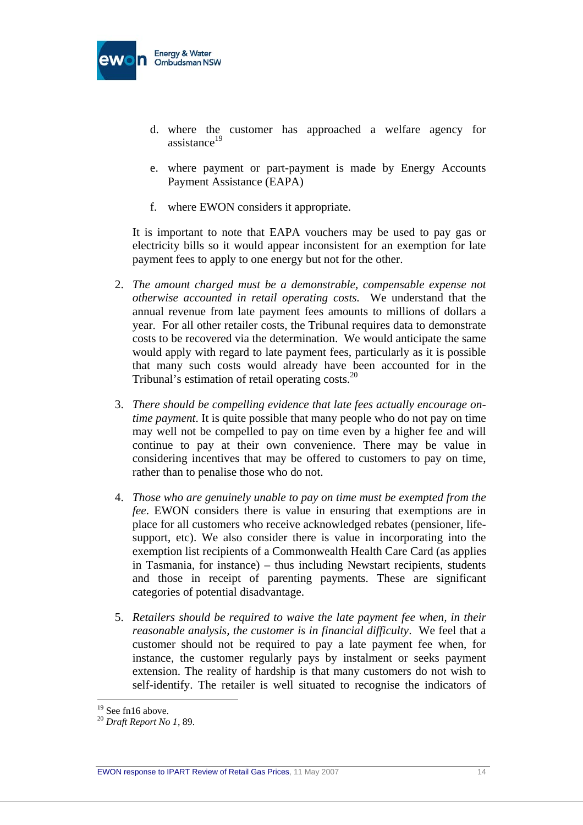

- d. where the customer has approached a welfare agency for assistance $^{19}$
- e. where payment or part-payment is made by Energy Accounts Payment Assistance (EAPA)
- f. where EWON considers it appropriate.

It is important to note that EAPA vouchers may be used to pay gas or electricity bills so it would appear inconsistent for an exemption for late payment fees to apply to one energy but not for the other.

- 2. *The amount charged must be a demonstrable, compensable expense not otherwise accounted in retail operating costs.* We understand that the annual revenue from late payment fees amounts to millions of dollars a year. For all other retailer costs, the Tribunal requires data to demonstrate costs to be recovered via the determination. We would anticipate the same would apply with regard to late payment fees, particularly as it is possible that many such costs would already have been accounted for in the Tribunal's estimation of retail operating costs. $^{20}$
- 3. *There should be compelling evidence that late fees actually encourage ontime payment*. It is quite possible that many people who do not pay on time may well not be compelled to pay on time even by a higher fee and will continue to pay at their own convenience. There may be value in considering incentives that may be offered to customers to pay on time, rather than to penalise those who do not.
- 4. *Those who are genuinely unable to pay on time must be exempted from the fee*. EWON considers there is value in ensuring that exemptions are in place for all customers who receive acknowledged rebates (pensioner, lifesupport, etc). We also consider there is value in incorporating into the exemption list recipients of a Commonwealth Health Care Card (as applies in Tasmania, for instance) – thus including Newstart recipients, students and those in receipt of parenting payments. These are significant categories of potential disadvantage.
- 5. *Retailers should be required to waive the late payment fee when, in their reasonable analysis, the customer is in financial difficulty*. We feel that a customer should not be required to pay a late payment fee when, for instance, the customer regularly pays by instalment or seeks payment extension. The reality of hardship is that many customers do not wish to self-identify. The retailer is well situated to recognise the indicators of

<sup>&</sup>lt;sup>19</sup> See fn16 above.

<sup>20</sup> *Draft Report No 1*, 89.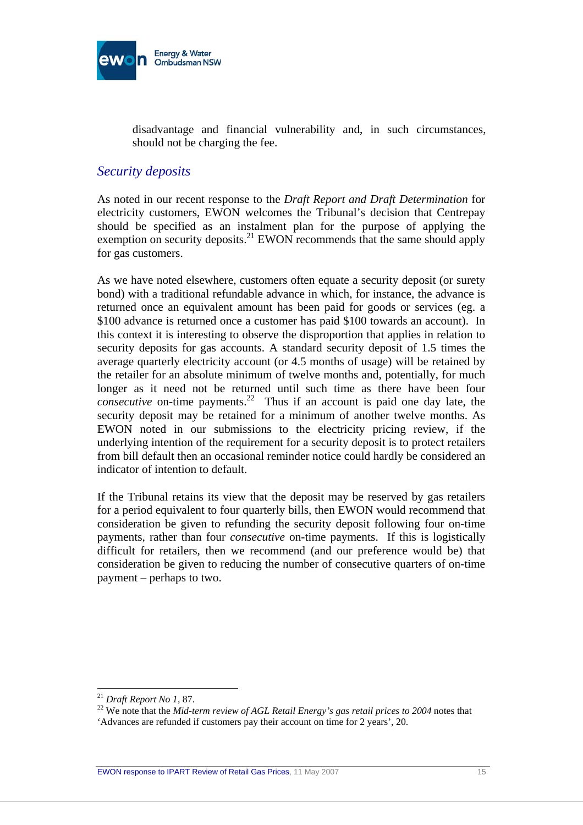

disadvantage and financial vulnerability and, in such circumstances, should not be charging the fee.

#### *Security deposits*

As noted in our recent response to the *Draft Report and Draft Determination* for electricity customers, EWON welcomes the Tribunal's decision that Centrepay should be specified as an instalment plan for the purpose of applying the exemption on security deposits.<sup>21</sup> EWON recommends that the same should apply for gas customers.

As we have noted elsewhere, customers often equate a security deposit (or surety bond) with a traditional refundable advance in which, for instance, the advance is returned once an equivalent amount has been paid for goods or services (eg. a \$100 advance is returned once a customer has paid \$100 towards an account). In this context it is interesting to observe the disproportion that applies in relation to security deposits for gas accounts. A standard security deposit of 1.5 times the average quarterly electricity account (or 4.5 months of usage) will be retained by the retailer for an absolute minimum of twelve months and, potentially, for much longer as it need not be returned until such time as there have been four *consecutive* on-time payments.<sup>22</sup> Thus if an account is paid one day late, the security deposit may be retained for a minimum of another twelve months. As EWON noted in our submissions to the electricity pricing review, if the underlying intention of the requirement for a security deposit is to protect retailers from bill default then an occasional reminder notice could hardly be considered an indicator of intention to default.

If the Tribunal retains its view that the deposit may be reserved by gas retailers for a period equivalent to four quarterly bills, then EWON would recommend that consideration be given to refunding the security deposit following four on-time payments, rather than four *consecutive* on-time payments. If this is logistically difficult for retailers, then we recommend (and our preference would be) that consideration be given to reducing the number of consecutive quarters of on-time payment – perhaps to two.

<sup>&</sup>lt;sup>21</sup> *Draft Report No 1, 87.*<br><sup>22</sup> We note that the *Mid-term review of AGL Retail Energy's gas retail prices to 2004* notes that 'Advances are refunded if customers pay their account on time for 2 years', 20.